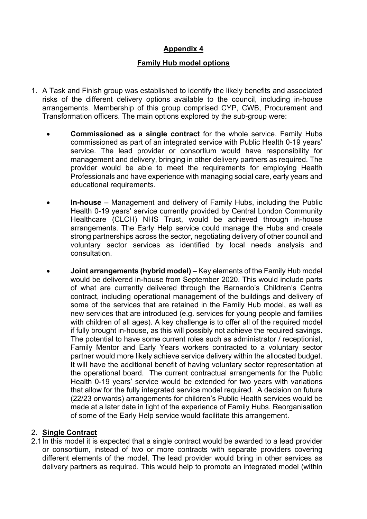# **Appendix 4**

### **Family Hub model options**

- 1. A Task and Finish group was established to identify the likely benefits and associated risks of the different delivery options available to the council, including in-house arrangements. Membership of this group comprised CYP, CWB, Procurement and Transformation officers. The main options explored by the sub-group were:
	- **Commissioned as a single contract** for the whole service. Family Hubs commissioned as part of an integrated service with Public Health 0-19 years' service. The lead provider or consortium would have responsibility for management and delivery, bringing in other delivery partners as required. The provider would be able to meet the requirements for employing Health Professionals and have experience with managing social care, early years and educational requirements.
	- **In-house** Management and delivery of Family Hubs, including the Public Health 0-19 years' service currently provided by Central London Community Healthcare (CLCH) NHS Trust, would be achieved through in-house arrangements. The Early Help service could manage the Hubs and create strong partnerships across the sector, negotiating delivery of other council and voluntary sector services as identified by local needs analysis and consultation.
	- **Joint arrangements (hybrid model)** Key elements of the Family Hub model would be delivered in-house from September 2020. This would include parts of what are currently delivered through the Barnardo's Children's Centre contract, including operational management of the buildings and delivery of some of the services that are retained in the Family Hub model, as well as new services that are introduced (e.g. services for young people and families with children of all ages). A key challenge is to offer all of the required model if fully brought in-house, as this will possibly not achieve the required savings. The potential to have some current roles such as administrator / receptionist, Family Mentor and Early Years workers contracted to a voluntary sector partner would more likely achieve service delivery within the allocated budget. It will have the additional benefit of having voluntary sector representation at the operational board. The current contractual arrangements for the Public Health 0-19 years' service would be extended for two years with variations that allow for the fully integrated service model required. A decision on future (22/23 onwards) arrangements for children's Public Health services would be made at a later date in light of the experience of Family Hubs. Reorganisation of some of the Early Help service would facilitate this arrangement.

#### 2. **Single Contract**

2.1In this model it is expected that a single contract would be awarded to a lead provider or consortium, instead of two or more contracts with separate providers covering different elements of the model. The lead provider would bring in other services as delivery partners as required. This would help to promote an integrated model (within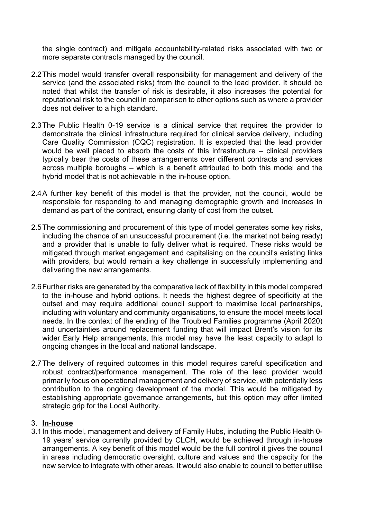the single contract) and mitigate accountability-related risks associated with two or more separate contracts managed by the council.

- 2.2This model would transfer overall responsibility for management and delivery of the service (and the associated risks) from the council to the lead provider. It should be noted that whilst the transfer of risk is desirable, it also increases the potential for reputational risk to the council in comparison to other options such as where a provider does not deliver to a high standard.
- 2.3The Public Health 0-19 service is a clinical service that requires the provider to demonstrate the clinical infrastructure required for clinical service delivery, including Care Quality Commission (CQC) registration. It is expected that the lead provider would be well placed to absorb the costs of this infrastructure – clinical providers typically bear the costs of these arrangements over different contracts and services across multiple boroughs – which is a benefit attributed to both this model and the hybrid model that is not achievable in the in-house option.
- 2.4A further key benefit of this model is that the provider, not the council, would be responsible for responding to and managing demographic growth and increases in demand as part of the contract, ensuring clarity of cost from the outset.
- 2.5The commissioning and procurement of this type of model generates some key risks, including the chance of an unsuccessful procurement (i.e. the market not being ready) and a provider that is unable to fully deliver what is required. These risks would be mitigated through market engagement and capitalising on the council's existing links with providers, but would remain a key challenge in successfully implementing and delivering the new arrangements.
- 2.6Further risks are generated by the comparative lack of flexibility in this model compared to the in-house and hybrid options. It needs the highest degree of specificity at the outset and may require additional council support to maximise local partnerships, including with voluntary and community organisations, to ensure the model meets local needs. In the context of the ending of the Troubled Families programme (April 2020) and uncertainties around replacement funding that will impact Brent's vision for its wider Early Help arrangements, this model may have the least capacity to adapt to ongoing changes in the local and national landscape.
- 2.7The delivery of required outcomes in this model requires careful specification and robust contract/performance management. The role of the lead provider would primarily focus on operational management and delivery of service, with potentially less contribution to the ongoing development of the model. This would be mitigated by establishing appropriate governance arrangements, but this option may offer limited strategic grip for the Local Authority.

#### 3. **In-house**

3.1In this model, management and delivery of Family Hubs, including the Public Health 0- 19 years' service currently provided by CLCH, would be achieved through in-house arrangements. A key benefit of this model would be the full control it gives the council in areas including democratic oversight, culture and values and the capacity for the new service to integrate with other areas. It would also enable to council to better utilise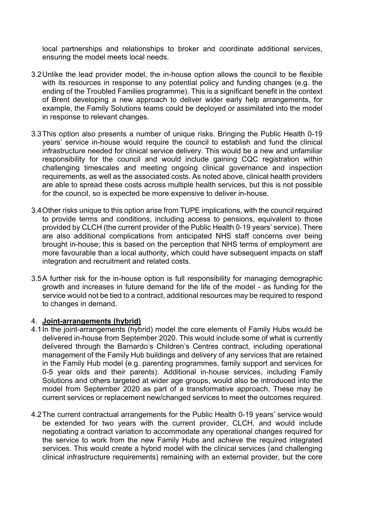local partnerships and relationships to broker and coordinate additional services, ensuring the model meets local needs.

- 3.2Unlike the lead provider model, the in-house option allows the council to be flexible with its resources in response to any potential policy and funding changes (e.g. the ending of the Troubled Families programme). This is a significant benefit in the context of Brent developing a new approach to deliver wider early help arrangements, for example, the Family Solutions teams could be deployed or assimilated into the model in response to relevant changes.
- 3.3This option also presents a number of unique risks. Bringing the Public Health 0-19 years' service in-house would require the council to establish and fund the clinical infrastructure needed for clinical service delivery. This would be a new and unfamiliar responsibility for the council and would include gaining CQC registration within challenging timescales and meeting ongoing clinical governance and inspection requirements, as well as the associated costs. As noted above, clinical health providers are able to spread these costs across multiple health services, but this is not possible for the council, so is expected be more expensive to deliver in-house.
- 3.4Other risks unique to this option arise from TUPE implications, with the council required to provide terms and conditions, including access to pensions, equivalent to those provided by CLCH (the current provider of the Public Health 0-19 years' service). There are also additional complications from anticipated NHS staff concerns over being brought in-house; this is based on the perception that NHS terms of employment are more favourable than a local authority, which could have subsequent impacts on staff integration and recruitment and related costs.
- 3.5A further risk for the in-house option is full responsibility for managing demographic growth and increases in future demand for the life of the model - as funding for the service would not be tied to a contract, additional resources may be required to respond to changes in demand.

#### 4. **Joint-arrangements (hybrid)**

- 4.1 In the joint-arrangements (hybrid) model the core elements of Family Hubs would be delivered in-house from September 2020. This would include some of what is currently delivered through the Barnardo's Children's Centres contract, including operational management of the Family Hub buildings and delivery of any services that are retained in the Family Hub model (e.g. parenting programmes, family support and services for 0-5 year olds and their parents). Additional in-house services, including Family Solutions and others targeted at wider age groups, would also be introduced into the model from September 2020 as part of a transformative approach. These may be current services or replacement new/changed services to meet the outcomes required.
- 4.2The current contractual arrangements for the Public Health 0-19 years' service would be extended for two years with the current provider, CLCH, and would include negotiating a contract variation to accommodate any operational changes required for the service to work from the new Family Hubs and achieve the required integrated services. This would create a hybrid model with the clinical services (and challenging clinical infrastructure requirements) remaining with an external provider, but the core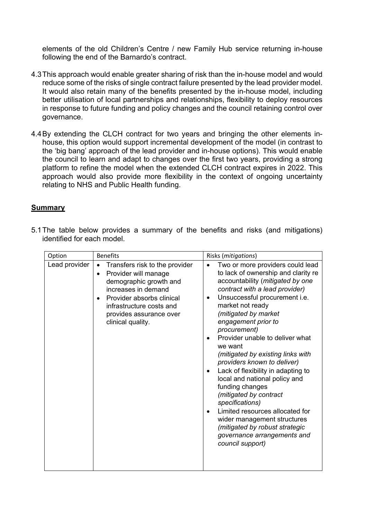elements of the old Children's Centre / new Family Hub service returning in-house following the end of the Barnardo's contract.

- 4.3This approach would enable greater sharing of risk than the in-house model and would reduce some of the risks of single contract failure presented by the lead provider model. It would also retain many of the benefits presented by the in-house model, including better utilisation of local partnerships and relationships, flexibility to deploy resources in response to future funding and policy changes and the council retaining control over governance.
- 4.4By extending the CLCH contract for two years and bringing the other elements inhouse, this option would support incremental development of the model (in contrast to the 'big bang' approach of the lead provider and in-house options). This would enable the council to learn and adapt to changes over the first two years, providing a strong platform to refine the model when the extended CLCH contract expires in 2022. This approach would also provide more flexibility in the context of ongoing uncertainty relating to NHS and Public Health funding.

## **Summary**

|  |                            |  |  |  |  | 5.1 The table below provides a summary of the benefits and risks (and mitigations) |
|--|----------------------------|--|--|--|--|------------------------------------------------------------------------------------|
|  | identified for each model. |  |  |  |  |                                                                                    |

| Option        | <b>Benefits</b>                                                                                                                                                                                                                                         | Risks (mitigations)                                                                                                                                                                                                                                                                                                                                                                                                                                                                                                                                                                                                                                                                                         |
|---------------|---------------------------------------------------------------------------------------------------------------------------------------------------------------------------------------------------------------------------------------------------------|-------------------------------------------------------------------------------------------------------------------------------------------------------------------------------------------------------------------------------------------------------------------------------------------------------------------------------------------------------------------------------------------------------------------------------------------------------------------------------------------------------------------------------------------------------------------------------------------------------------------------------------------------------------------------------------------------------------|
| Lead provider | Transfers risk to the provider<br>$\bullet$<br>Provider will manage<br>$\bullet$<br>demographic growth and<br>increases in demand<br>Provider absorbs clinical<br>$\bullet$<br>infrastructure costs and<br>provides assurance over<br>clinical quality. | Two or more providers could lead<br>$\bullet$<br>to lack of ownership and clarity re<br>accountability (mitigated by one<br>contract with a lead provider)<br>Unsuccessful procurement i.e.<br>$\bullet$<br>market not ready<br>(mitigated by market<br>engagement prior to<br>procurement)<br>Provider unable to deliver what<br>we want<br>(mitigated by existing links with<br>providers known to deliver)<br>Lack of flexibility in adapting to<br>local and national policy and<br>funding changes<br>(mitigated by contract<br>specifications)<br>Limited resources allocated for<br>wider management structures<br>(mitigated by robust strategic<br>governance arrangements and<br>council support) |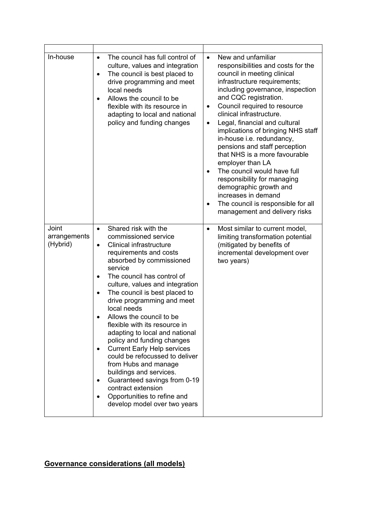| In-house                          | The council has full control of<br>$\bullet$<br>culture, values and integration<br>The council is best placed to<br>$\bullet$<br>drive programming and meet<br>local needs<br>Allows the council to be<br>$\bullet$<br>flexible with its resource in<br>adapting to local and national<br>policy and funding changes                                                                                                                                                                                                                                                                                                                                                                                                                                            | New and unfamiliar<br>$\bullet$<br>responsibilities and costs for the<br>council in meeting clinical<br>infrastructure requirements;<br>including governance, inspection<br>and CQC registration.<br>Council required to resource<br>$\bullet$<br>clinical infrastructure.<br>Legal, financial and cultural<br>$\bullet$<br>implications of bringing NHS staff<br>in-house i.e. redundancy,<br>pensions and staff perception<br>that NHS is a more favourable<br>employer than LA<br>The council would have full<br>$\bullet$<br>responsibility for managing<br>demographic growth and<br>increases in demand<br>The council is responsible for all<br>$\bullet$<br>management and delivery risks |
|-----------------------------------|-----------------------------------------------------------------------------------------------------------------------------------------------------------------------------------------------------------------------------------------------------------------------------------------------------------------------------------------------------------------------------------------------------------------------------------------------------------------------------------------------------------------------------------------------------------------------------------------------------------------------------------------------------------------------------------------------------------------------------------------------------------------|---------------------------------------------------------------------------------------------------------------------------------------------------------------------------------------------------------------------------------------------------------------------------------------------------------------------------------------------------------------------------------------------------------------------------------------------------------------------------------------------------------------------------------------------------------------------------------------------------------------------------------------------------------------------------------------------------|
| Joint<br>arrangements<br>(Hybrid) | Shared risk with the<br>$\bullet$<br>commissioned service<br>Clinical infrastructure<br>$\bullet$<br>requirements and costs<br>absorbed by commissioned<br>service<br>The council has control of<br>$\bullet$<br>culture, values and integration<br>The council is best placed to<br>$\bullet$<br>drive programming and meet<br>local needs<br>Allows the council to be<br>flexible with its resource in<br>adapting to local and national<br>policy and funding changes<br><b>Current Early Help services</b><br>$\bullet$<br>could be refocussed to deliver<br>from Hubs and manage<br>buildings and services.<br>Guaranteed savings from 0-19<br>$\bullet$<br>contract extension<br>Opportunities to refine and<br>$\bullet$<br>develop model over two years | Most similar to current model,<br>$\bullet$<br>limiting transformation potential<br>(mitigated by benefits of<br>incremental development over<br>two years)                                                                                                                                                                                                                                                                                                                                                                                                                                                                                                                                       |

# **Governance considerations (all models)**